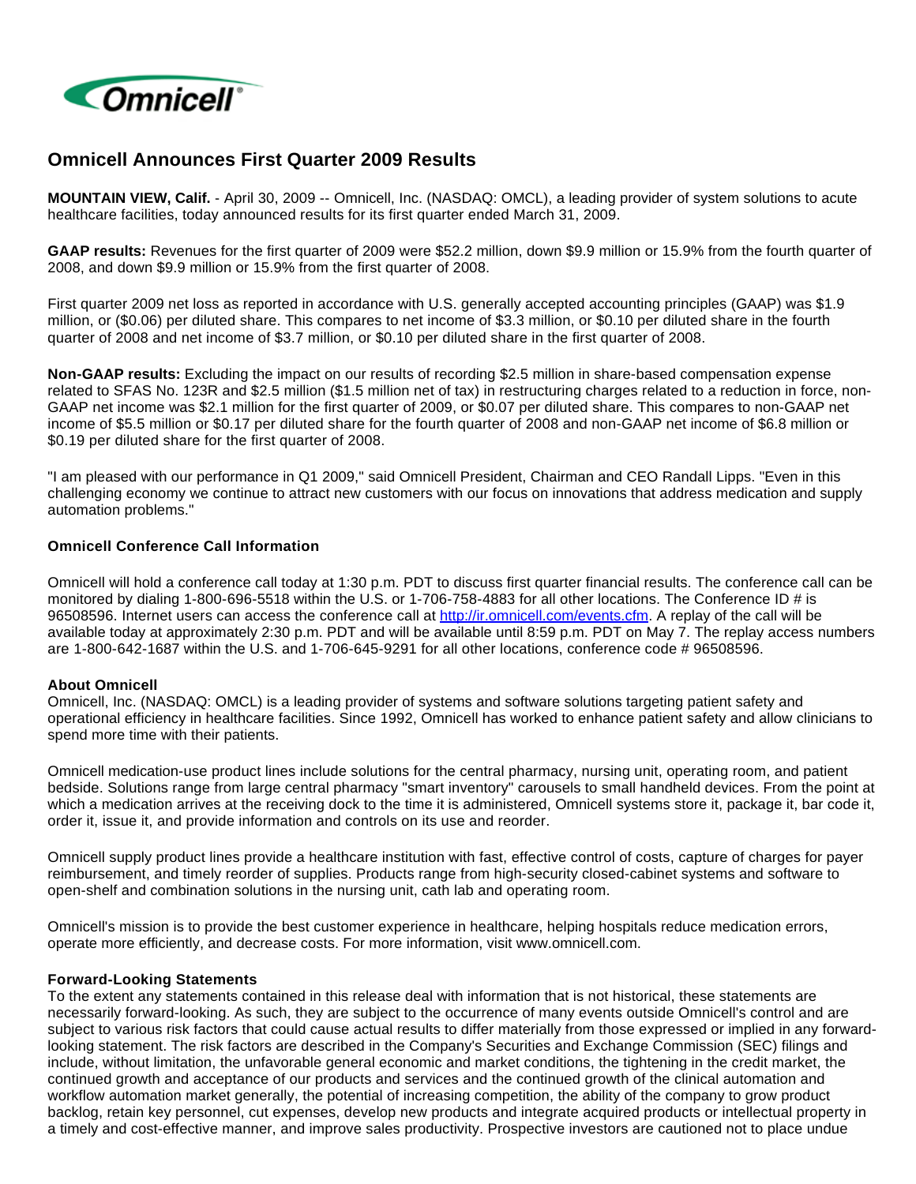

# **Omnicell Announces First Quarter 2009 Results**

**MOUNTAIN VIEW, Calif.** - April 30, 2009 -- Omnicell, Inc. (NASDAQ: OMCL), a leading provider of system solutions to acute healthcare facilities, today announced results for its first quarter ended March 31, 2009.

**GAAP results:** Revenues for the first quarter of 2009 were \$52.2 million, down \$9.9 million or 15.9% from the fourth quarter of 2008, and down \$9.9 million or 15.9% from the first quarter of 2008.

First quarter 2009 net loss as reported in accordance with U.S. generally accepted accounting principles (GAAP) was \$1.9 million, or (\$0.06) per diluted share. This compares to net income of \$3.3 million, or \$0.10 per diluted share in the fourth quarter of 2008 and net income of \$3.7 million, or \$0.10 per diluted share in the first quarter of 2008.

**Non-GAAP results:** Excluding the impact on our results of recording \$2.5 million in share-based compensation expense related to SFAS No. 123R and \$2.5 million (\$1.5 million net of tax) in restructuring charges related to a reduction in force, non-GAAP net income was \$2.1 million for the first quarter of 2009, or \$0.07 per diluted share. This compares to non-GAAP net income of \$5.5 million or \$0.17 per diluted share for the fourth quarter of 2008 and non-GAAP net income of \$6.8 million or \$0.19 per diluted share for the first quarter of 2008.

"I am pleased with our performance in Q1 2009," said Omnicell President, Chairman and CEO Randall Lipps. "Even in this challenging economy we continue to attract new customers with our focus on innovations that address medication and supply automation problems."

#### **Omnicell Conference Call Information**

Omnicell will hold a conference call today at 1:30 p.m. PDT to discuss first quarter financial results. The conference call can be monitored by dialing 1-800-696-5518 within the U.S. or 1-706-758-4883 for all other locations. The Conference ID # is 96508596. Internet users can access the conference call at [http://ir.omnicell.com/events.cfm.](http://ir.omnicell.com/events.cfm) A replay of the call will be available today at approximately 2:30 p.m. PDT and will be available until 8:59 p.m. PDT on May 7. The replay access numbers are 1-800-642-1687 within the U.S. and 1-706-645-9291 for all other locations, conference code # 96508596.

## **About Omnicell**

Omnicell, Inc. (NASDAQ: OMCL) is a leading provider of systems and software solutions targeting patient safety and operational efficiency in healthcare facilities. Since 1992, Omnicell has worked to enhance patient safety and allow clinicians to spend more time with their patients.

Omnicell medication-use product lines include solutions for the central pharmacy, nursing unit, operating room, and patient bedside. Solutions range from large central pharmacy "smart inventory" carousels to small handheld devices. From the point at which a medication arrives at the receiving dock to the time it is administered, Omnicell systems store it, package it, bar code it, order it, issue it, and provide information and controls on its use and reorder.

Omnicell supply product lines provide a healthcare institution with fast, effective control of costs, capture of charges for payer reimbursement, and timely reorder of supplies. Products range from high-security closed-cabinet systems and software to open-shelf and combination solutions in the nursing unit, cath lab and operating room.

Omnicell's mission is to provide the best customer experience in healthcare, helping hospitals reduce medication errors, operate more efficiently, and decrease costs. For more information, visit www.omnicell.com.

## **Forward-Looking Statements**

To the extent any statements contained in this release deal with information that is not historical, these statements are necessarily forward-looking. As such, they are subject to the occurrence of many events outside Omnicell's control and are subject to various risk factors that could cause actual results to differ materially from those expressed or implied in any forwardlooking statement. The risk factors are described in the Company's Securities and Exchange Commission (SEC) filings and include, without limitation, the unfavorable general economic and market conditions, the tightening in the credit market, the continued growth and acceptance of our products and services and the continued growth of the clinical automation and workflow automation market generally, the potential of increasing competition, the ability of the company to grow product backlog, retain key personnel, cut expenses, develop new products and integrate acquired products or intellectual property in a timely and cost-effective manner, and improve sales productivity. Prospective investors are cautioned not to place undue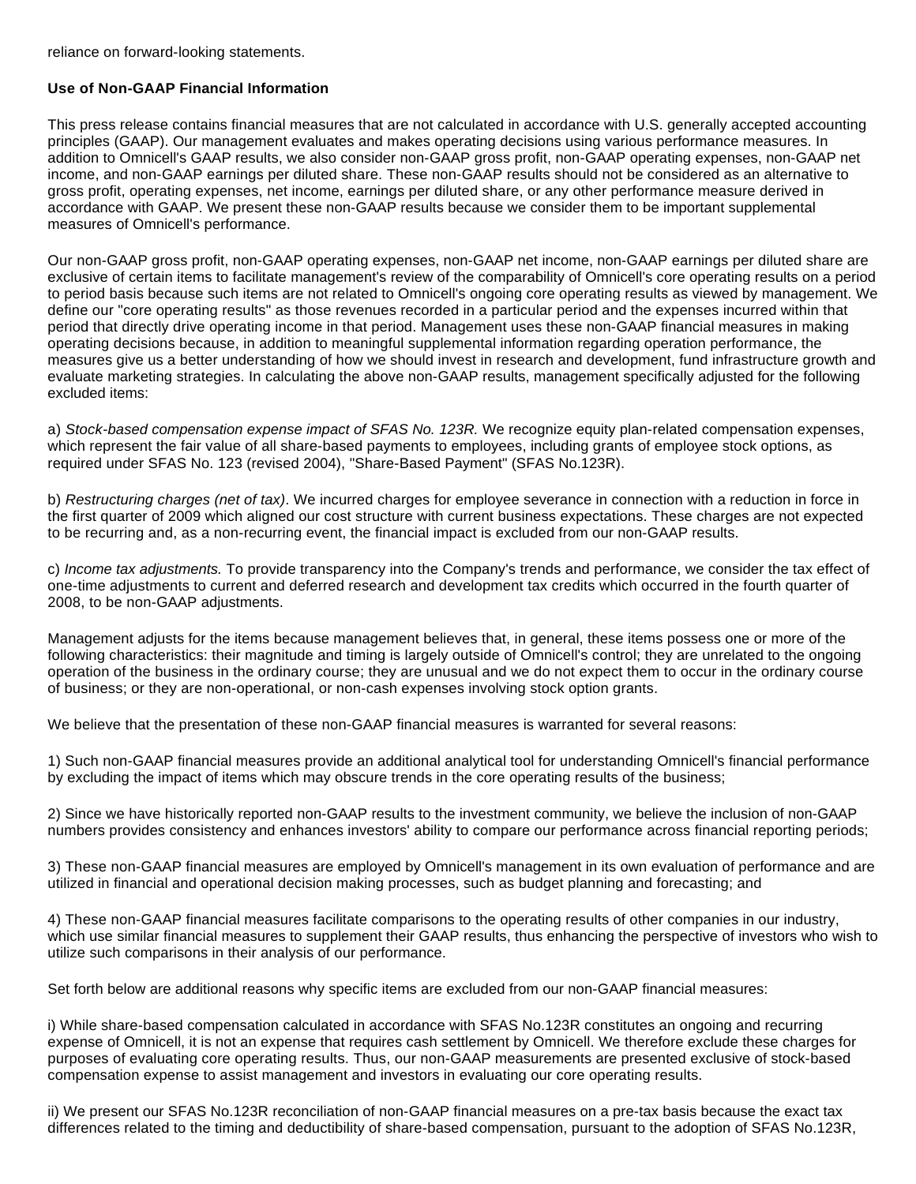reliance on forward-looking statements.

# **Use of Non-GAAP Financial Information**

This press release contains financial measures that are not calculated in accordance with U.S. generally accepted accounting principles (GAAP). Our management evaluates and makes operating decisions using various performance measures. In addition to Omnicell's GAAP results, we also consider non-GAAP gross profit, non-GAAP operating expenses, non-GAAP net income, and non-GAAP earnings per diluted share. These non-GAAP results should not be considered as an alternative to gross profit, operating expenses, net income, earnings per diluted share, or any other performance measure derived in accordance with GAAP. We present these non-GAAP results because we consider them to be important supplemental measures of Omnicell's performance.

Our non-GAAP gross profit, non-GAAP operating expenses, non-GAAP net income, non-GAAP earnings per diluted share are exclusive of certain items to facilitate management's review of the comparability of Omnicell's core operating results on a period to period basis because such items are not related to Omnicell's ongoing core operating results as viewed by management. We define our "core operating results" as those revenues recorded in a particular period and the expenses incurred within that period that directly drive operating income in that period. Management uses these non-GAAP financial measures in making operating decisions because, in addition to meaningful supplemental information regarding operation performance, the measures give us a better understanding of how we should invest in research and development, fund infrastructure growth and evaluate marketing strategies. In calculating the above non-GAAP results, management specifically adjusted for the following excluded items:

a) Stock-based compensation expense impact of SFAS No. 123R. We recognize equity plan-related compensation expenses, which represent the fair value of all share-based payments to employees, including grants of employee stock options, as required under SFAS No. 123 (revised 2004), "Share-Based Payment" (SFAS No.123R).

b) Restructuring charges (net of tax). We incurred charges for employee severance in connection with a reduction in force in the first quarter of 2009 which aligned our cost structure with current business expectations. These charges are not expected to be recurring and, as a non-recurring event, the financial impact is excluded from our non-GAAP results.

c) Income tax adjustments. To provide transparency into the Company's trends and performance, we consider the tax effect of one-time adjustments to current and deferred research and development tax credits which occurred in the fourth quarter of 2008, to be non-GAAP adjustments.

Management adjusts for the items because management believes that, in general, these items possess one or more of the following characteristics: their magnitude and timing is largely outside of Omnicell's control; they are unrelated to the ongoing operation of the business in the ordinary course; they are unusual and we do not expect them to occur in the ordinary course of business; or they are non-operational, or non-cash expenses involving stock option grants.

We believe that the presentation of these non-GAAP financial measures is warranted for several reasons:

1) Such non-GAAP financial measures provide an additional analytical tool for understanding Omnicell's financial performance by excluding the impact of items which may obscure trends in the core operating results of the business;

2) Since we have historically reported non-GAAP results to the investment community, we believe the inclusion of non-GAAP numbers provides consistency and enhances investors' ability to compare our performance across financial reporting periods;

3) These non-GAAP financial measures are employed by Omnicell's management in its own evaluation of performance and are utilized in financial and operational decision making processes, such as budget planning and forecasting; and

4) These non-GAAP financial measures facilitate comparisons to the operating results of other companies in our industry, which use similar financial measures to supplement their GAAP results, thus enhancing the perspective of investors who wish to utilize such comparisons in their analysis of our performance.

Set forth below are additional reasons why specific items are excluded from our non-GAAP financial measures:

i) While share-based compensation calculated in accordance with SFAS No.123R constitutes an ongoing and recurring expense of Omnicell, it is not an expense that requires cash settlement by Omnicell. We therefore exclude these charges for purposes of evaluating core operating results. Thus, our non-GAAP measurements are presented exclusive of stock-based compensation expense to assist management and investors in evaluating our core operating results.

ii) We present our SFAS No.123R reconciliation of non-GAAP financial measures on a pre-tax basis because the exact tax differences related to the timing and deductibility of share-based compensation, pursuant to the adoption of SFAS No.123R,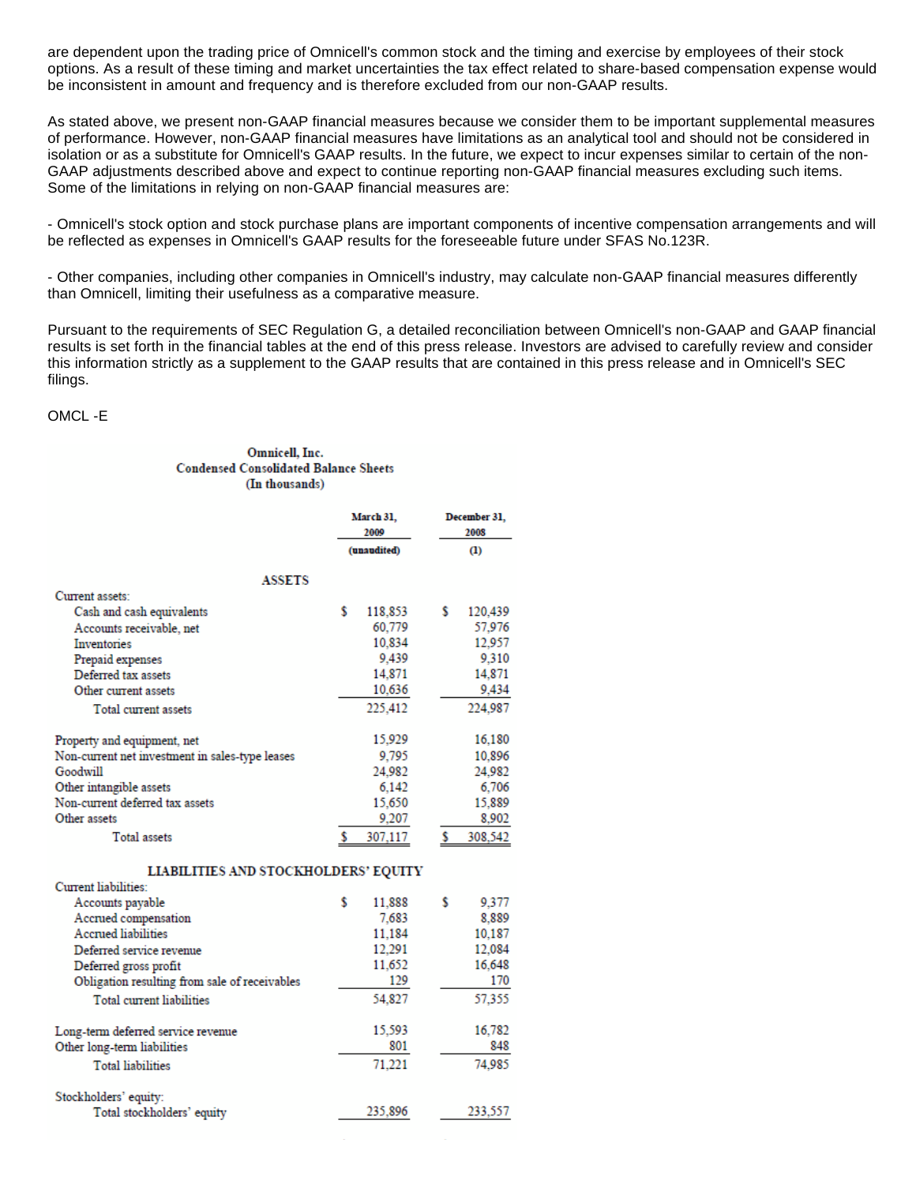are dependent upon the trading price of Omnicell's common stock and the timing and exercise by employees of their stock options. As a result of these timing and market uncertainties the tax effect related to share-based compensation expense would be inconsistent in amount and frequency and is therefore excluded from our non-GAAP results.

As stated above, we present non-GAAP financial measures because we consider them to be important supplemental measures of performance. However, non-GAAP financial measures have limitations as an analytical tool and should not be considered in isolation or as a substitute for Omnicell's GAAP results. In the future, we expect to incur expenses similar to certain of the non-GAAP adjustments described above and expect to continue reporting non-GAAP financial measures excluding such items. Some of the limitations in relying on non-GAAP financial measures are:

- Omnicell's stock option and stock purchase plans are important components of incentive compensation arrangements and will be reflected as expenses in Omnicell's GAAP results for the foreseeable future under SFAS No.123R.

- Other companies, including other companies in Omnicell's industry, may calculate non-GAAP financial measures differently than Omnicell, limiting their usefulness as a comparative measure.

Pursuant to the requirements of SEC Regulation G, a detailed reconciliation between Omnicell's non-GAAP and GAAP financial results is set forth in the financial tables at the end of this press release. Investors are advised to carefully review and consider this information strictly as a supplement to the GAAP results that are contained in this press release and in Omnicell's SEC filings.

#### OMCL -E

#### Omnicell, Inc. **Condensed Consolidated Balance Sheets** (In thousands)

|                                                 | March 31,<br>2009 |             |   | December 31,<br>2008 |  |
|-------------------------------------------------|-------------------|-------------|---|----------------------|--|
|                                                 |                   | (unaudited) |   | $\bf{u}$             |  |
| <b>ASSETS</b>                                   |                   |             |   |                      |  |
| Current assets:                                 |                   |             |   |                      |  |
| Cash and cash equivalents                       | \$                | 118,853     | s | 120,439              |  |
| Accounts receivable, net                        |                   | 60,779      |   | 57.976               |  |
| <b>Inventories</b>                              |                   | 10,834      |   | 12,957               |  |
| Prepaid expenses                                |                   | 9.439       |   | 9.310                |  |
| Deferred tax assets                             |                   | 14,871      |   | 14,871               |  |
| Other current assets                            |                   | 10,636      |   | 9.434                |  |
| Total current assets                            |                   | 225,412     |   | 224.987              |  |
| Property and equipment, net                     |                   | 15,929      |   | 16,180               |  |
| Non-current net investment in sales-type leases |                   | 9.795       |   | 10.896               |  |
| Goodwill                                        |                   | 24,982      |   | 24.982               |  |
| Other intangible assets                         |                   | 6,142       |   | 6.706                |  |
| Non-current deferred tax assets                 |                   | 15,650      |   | 15,889               |  |
| Other assets                                    |                   | 9,207       |   | 8.902                |  |
| Total assets                                    | s                 | 307,117     | s | 308.542              |  |
| <b>LIABILITIES AND STOCKHOLDERS' EQUITY</b>     |                   |             |   |                      |  |
| Current liabilities:                            |                   |             |   |                      |  |
| Accounts payable                                | s                 | 11,888      | s | 9.377                |  |
| Accrued compensation                            |                   | 7.683       |   | 8.889                |  |
| <b>Accrued liabilities</b>                      |                   | 11.184      |   | 10,187               |  |
| Deferred service revenue                        |                   | 12,291      |   | 12,084               |  |
| Deferred gross profit                           |                   | 11,652      |   | 16.648               |  |
| Obligation resulting from sale of receivables   |                   | 129         |   | 170                  |  |
| <b>Total current liabilities</b>                |                   | 54,827      |   | 57,355               |  |
| Long-term deferred service revenue              |                   | 15,593      |   | 16.782               |  |
| Other long-term liabilities                     |                   | 801         |   | 848                  |  |
| <b>Total liabilities</b>                        |                   | 71,221      |   | 74.985               |  |
| Stockholders' equity:                           |                   |             |   |                      |  |
| Total stockholders' equity                      |                   | 235,896     |   | 233.557              |  |